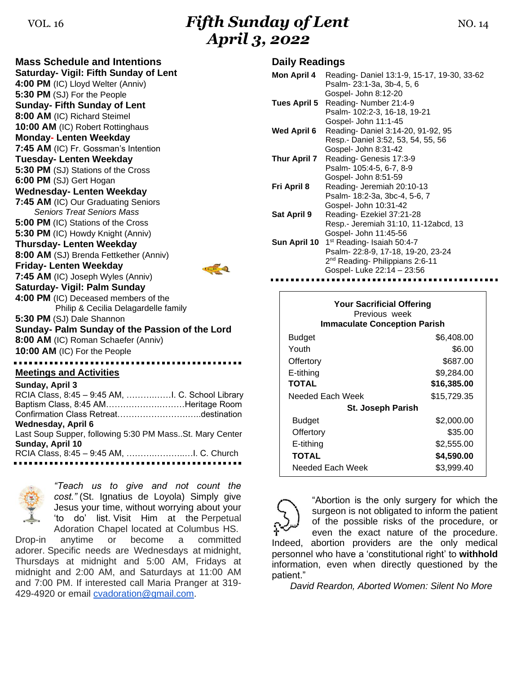## VOL. 16 **Fifth Sunday of Lent NO. 14** NO. 14 *April 3, 2022*

**Mass Schedule and Intentions Saturday- Vigil: Fifth Sunday of Lent 4:00 PM** (IC) Lloyd Welter (Anniv) **5:30 PM** (SJ) For the People **Sunday- Fifth Sunday of Lent 8:00 AM** (IC) Richard Steimel **10:00 AM** (IC) Robert Rottinghaus **Monday- Lenten Weekday 7:45 AM** (IC) Fr. Gossman's Intention **Tuesday- Lenten Weekday 5:30 PM** (SJ) Stations of the Cross **6:00 PM** (SJ) Gert Hogan **Wednesday- Lenten Weekday 7:45 AM** (IC) Our Graduating Seniors *Seniors Treat Seniors Mass* **5:00 PM** (IC) Stations of the Cross **5:30 PM** (IC) Howdy Knight (Anniv) **Thursday- Lenten Weekday 8:00 AM** (SJ) Brenda Fettkether (Anniv) **Friday- Lenten Weekday 7:45 AM** (IC) Joseph Wyles (Anniv) **Saturday- Vigil: Palm Sunday 4:00 PM** (IC) Deceased members of the Philip & Cecilia Delagardelle family **5:30 PM** (SJ) Dale Shannon **Sunday- Palm Sunday of the Passion of the Lord 8:00 AM** (IC) Roman Schaefer (Anniv) **10:00 AM** (IC) For the People **Meetings and Activities Sunday, April 3**

| Baptism Class, 8:45 AMHeritage Room                     |  |
|---------------------------------------------------------|--|
|                                                         |  |
|                                                         |  |
| Wednesday, April 6                                      |  |
| Last Soup Supper, following 5:30 PM MassSt. Mary Center |  |
| Sunday, April 10                                        |  |
|                                                         |  |
|                                                         |  |



*"Teach us to give and not count the cost."* (St. Ignatius de Loyola) Simply give Jesus your time, without worrying about your 'to do' list. Visit Him at the Perpetual Adoration Chapel located at Columbus HS.

Drop-in anytime or become a committed adorer. Specific needs are Wednesdays at midnight, Thursdays at midnight and 5:00 AM, Fridays at midnight and 2:00 AM, and Saturdays at 11:00 AM and 7:00 PM. If interested call Maria Pranger at 319- 429-4920 or email [cvadoration@gmail.com.](mailto:cvadoration@gmail.com)

### **Daily Readings**

| <b>Mon April 4</b>  | Reading-Daniel 13:1-9, 15-17, 19-30, 33-62<br>Psalm- 23:1-3a, 3b-4, 5, 6                                                                                  |
|---------------------|-----------------------------------------------------------------------------------------------------------------------------------------------------------|
| Tues April 5        | Gospel- John 8:12-20<br>Reading-Number 21:4-9<br>Psalm- 102:2-3, 16-18, 19-21<br>Gospel- John 11:1-45                                                     |
| Wed April 6         | Reading-Daniel 3:14-20, 91-92, 95<br>Resp.- Daniel 3:52, 53, 54, 55, 56                                                                                   |
| <b>Thur April 7</b> | Gospel- John 8:31-42<br>Reading- Genesis 17:3-9<br>Psalm- 105:4-5, 6-7, 8-9                                                                               |
| Fri April 8         | Gospel- John 8:51-59<br>Reading- Jeremiah 20:10-13<br>Psalm- 18:2-3a, 3bc-4, 5-6, 7                                                                       |
| Sat April 9         | Gospel- John 10:31-42<br>Reading-Ezekiel 37:21-28<br>Resp.- Jeremiah 31:10, 11-12abcd, 13<br>Gospel- John 11:45-56                                        |
| Sun April 10        | 1 <sup>st</sup> Reading- Isaiah 50:4-7<br>Psalm- 22:8-9, 17-18, 19-20, 23-24<br>2 <sup>nd</sup> Reading- Philippians 2:6-11<br>Gospel- Luke 22:14 - 23:56 |

| <b>Your Sacrificial Offering</b><br>Previous week<br><b>Immaculate Conception Parish</b> |             |  |  |
|------------------------------------------------------------------------------------------|-------------|--|--|
| <b>Budget</b>                                                                            | \$6,408.00  |  |  |
| Youth                                                                                    | \$6.00      |  |  |
| Offertory                                                                                | \$687.00    |  |  |
| E-tithing                                                                                | \$9,284.00  |  |  |
| <b>TOTAL</b>                                                                             | \$16,385.00 |  |  |
| Needed Each Week                                                                         | \$15,729.35 |  |  |
| <b>St. Joseph Parish</b>                                                                 |             |  |  |
| <b>Budget</b>                                                                            | \$2,000.00  |  |  |
| Offertory                                                                                | \$35.00     |  |  |
| E-tithing                                                                                | \$2,555.00  |  |  |
| TOTAL                                                                                    | \$4,590.00  |  |  |
| Needed Each Week                                                                         | \$3,999.40  |  |  |

"Abortion is the only surgery for which the surgeon is not obligated to inform the patient of the possible risks of the procedure, or even the exact nature of the procedure. Indeed, abortion providers are the only medical personnel who have a 'constitutional right' to **withhold**  information, even when directly questioned by the patient."

*David Reardon, Aborted Women: Silent No More*